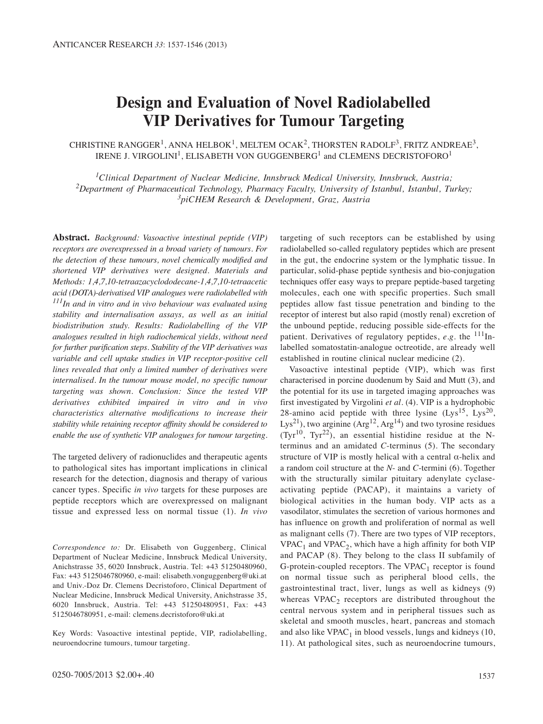# **Design and Evaluation of Novel Radiolabelled VIP Derivatives for Tumour Targeting**

CHRISTINE RANGGER<sup>1</sup>, ANNA HELBOK<sup>1</sup>, MELTEM OCAK<sup>2</sup>, THORSTEN RADOLF<sup>3</sup>, FRITZ ANDREAE<sup>3</sup>, IRENE J. VIRGOLINI<sup>1</sup>, ELISABETH VON GUGGENBERG<sup>1</sup> and CLEMENS DECRISTOFORO<sup>1</sup>

*1Clinical Department of Nuclear Medicine, Innsbruck Medical University, Innsbruck, Austria; 2Department of Pharmaceutical Technology, Pharmacy Faculty, University of Istanbul, Istanbul, Turkey; 3piCHEM Research & Development, Graz, Austria*

**Abstract.** *Background: Vasoactive intestinal peptide (VIP) receptors are overexpressed in a broad variety of tumours. For the detection of these tumours, novel chemically modified and shortened VIP derivatives were designed. Materials and Methods: 1,4,7,10-tetraazacyclododecane-1,4,7,10-tetraacetic acid (DOTA)-derivatised VIP analogues were radiolabelled with 111In and in vitro and in vivo behaviour was evaluated using stability and internalisation assays, as well as an initial biodistribution study. Results: Radiolabelling of the VIP analogues resulted in high radiochemical yields, without need for further purification steps. Stability of the VIP derivatives was variable and cell uptake studies in VIP receptor-positive cell lines revealed that only a limited number of derivatives were internalised. In the tumour mouse model, no specific tumour targeting was shown. Conclusion: Since the tested VIP derivatives exhibited impaired in vitro and in vivo characteristics alternative modifications to increase their stability while retaining receptor affinity should be considered to enable the use of synthetic VIP analogues for tumour targeting.* 

The targeted delivery of radionuclides and therapeutic agents to pathological sites has important implications in clinical research for the detection, diagnosis and therapy of various cancer types. Specific *in vivo* targets for these purposes are peptide receptors which are overexpressed on malignant tissue and expressed less on normal tissue (1). *In vivo*

Key Words: Vasoactive intestinal peptide, VIP, radiolabelling, neuroendocrine tumours, tumour targeting.

targeting of such receptors can be established by using radiolabelled so-called regulatory peptides which are present in the gut, the endocrine system or the lymphatic tissue. In particular, solid-phase peptide synthesis and bio-conjugation techniques offer easy ways to prepare peptide-based targeting molecules, each one with specific properties. Such small peptides allow fast tissue penetration and binding to the receptor of interest but also rapid (mostly renal) excretion of the unbound peptide, reducing possible side-effects for the patient. Derivatives of regulatory peptides,  $e.g.$  the  $111$ Inlabelled somatostatin-analogue octreotide, are already well established in routine clinical nuclear medicine (2).

Vasoactive intestinal peptide (VIP), which was first characterised in porcine duodenum by Said and Mutt (3), and the potential for its use in targeted imaging approaches was first investigated by Virgolini *et al.* (4). VIP is a hydrophobic 28-amino acid peptide with three lysine  $(Lys^{15}, Lys^{20},$ Lys<sup>21</sup>), two arginine (Arg<sup>12</sup>, Arg<sup>14</sup>) and two tyrosine residues  $(Tyr<sup>10</sup>, Tyr<sup>22</sup>)$ , an essential histidine residue at the Nterminus and an amidated *C*-terminus (5). The secondary structure of VIP is mostly helical with a central  $\alpha$ -helix and a random coil structure at the *N*- and *C*-termini (6). Together with the structurally similar pituitary adenylate cyclaseactivating peptide (PACAP), it maintains a variety of biological activities in the human body. VIP acts as a vasodilator, stimulates the secretion of various hormones and has influence on growth and proliferation of normal as well as malignant cells (7). There are two types of VIP receptors,  $VPAC<sub>1</sub>$  and  $VPAC<sub>2</sub>$ , which have a high affinity for both VIP and PACAP (8). They belong to the class II subfamily of G-protein-coupled receptors. The  $VPAC_1$  receptor is found on normal tissue such as peripheral blood cells, the gastrointestinal tract, liver, lungs as well as kidneys (9) whereas  $VPAC<sub>2</sub>$  receptors are distributed throughout the central nervous system and in peripheral tissues such as skeletal and smooth muscles, heart, pancreas and stomach and also like  $VPAC_1$  in blood vessels, lungs and kidneys (10, 11). At pathological sites, such as neuroendocrine tumours,

*Correspondence to:* Dr. Elisabeth von Guggenberg, Clinical Department of Nuclear Medicine, Innsbruck Medical University, Anichstrasse 35, 6020 Innsbruck, Austria. Tel: +43 51250480960, Fax: +43 5125046780960, e-mail: elisabeth.vonguggenberg@uki.at and Univ.-Doz Dr. Clemens Decristoforo, Clinical Department of Nuclear Medicine, Innsbruck Medical University, Anichstrasse 35, 6020 Innsbruck, Austria. Tel: +43 51250480951, Fax: +43 5125046780951, e-mail: clemens.decristoforo@uki.at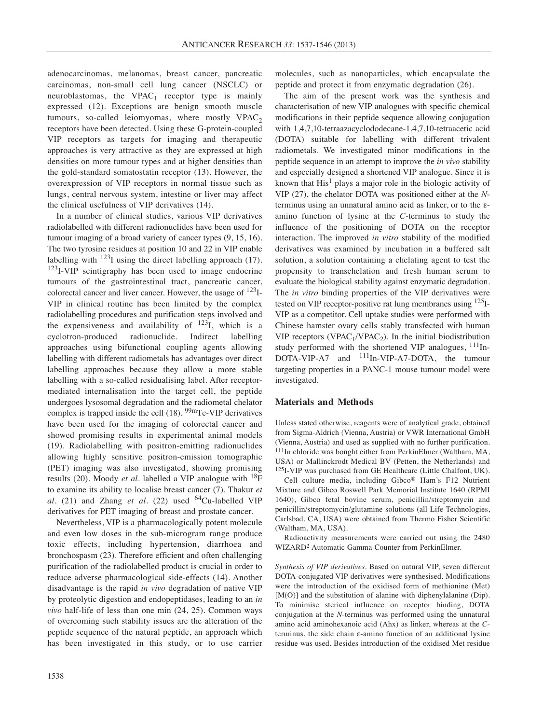adenocarcinomas, melanomas, breast cancer, pancreatic carcinomas, non-small cell lung cancer (NSCLC) or neuroblastomas, the  $VPAC_1$  receptor type is mainly expressed (12). Exceptions are benign smooth muscle tumours, so-called leiomyomas, where mostly  $VPAC<sub>2</sub>$ receptors have been detected. Using these G-protein-coupled VIP receptors as targets for imaging and therapeutic approaches is very attractive as they are expressed at high densities on more tumour types and at higher densities than the gold-standard somatostatin receptor (13). However, the overexpression of VIP receptors in normal tissue such as lungs, central nervous system, intestine or liver may affect the clinical usefulness of VIP derivatives (14).

In a number of clinical studies, various VIP derivatives radiolabelled with different radionuclides have been used for tumour imaging of a broad variety of cancer types (9, 15, 16). The two tyrosine residues at position 10 and 22 in VIP enable labelling with  $123I$  using the direct labelling approach (17).  $123$ I-VIP scintigraphy has been used to image endocrine tumours of the gastrointestinal tract, pancreatic cancer, colorectal cancer and liver cancer. However, the usage of 123I-VIP in clinical routine has been limited by the complex radiolabelling procedures and purification steps involved and the expensiveness and availability of  $^{123}I$ , which is a cyclotron-produced radionuclide. Indirect labelling approaches using bifunctional coupling agents allowing labelling with different radiometals has advantages over direct labelling approaches because they allow a more stable labelling with a so-called residualising label. After receptormediated internalisation into the target cell, the peptide undergoes lysosomal degradation and the radiometal chelator complex is trapped inside the cell  $(18)$ . <sup>99m</sup>Tc-VIP derivatives have been used for the imaging of colorectal cancer and showed promising results in experimental animal models (19). Radiolabelling with positron-emitting radionuclides allowing highly sensitive positron-emission tomographic (PET) imaging was also investigated, showing promising results (20). Moody *et al.* labelled a VIP analogue with <sup>18</sup>F to examine its ability to localise breast cancer (7). Thakur *et al.* (21) and Zhang *et al.* (22) used  $^{64}$ Cu-labelled VIP derivatives for PET imaging of breast and prostate cancer.

Nevertheless, VIP is a pharmacologically potent molecule and even low doses in the sub-microgram range produce toxic effects, including hypertension, diarrhoea and bronchospasm (23). Therefore efficient and often challenging purification of the radiolabelled product is crucial in order to reduce adverse pharmacological side-effects (14). Another disadvantage is the rapid *in vivo* degradation of native VIP by proteolytic digestion and endopeptidases, leading to an *in vivo* half-life of less than one min (24, 25). Common ways of overcoming such stability issues are the alteration of the peptide sequence of the natural peptide, an approach which has been investigated in this study, or to use carrier molecules, such as nanoparticles, which encapsulate the peptide and protect it from enzymatic degradation (26).

The aim of the present work was the synthesis and characterisation of new VIP analogues with specific chemical modifications in their peptide sequence allowing conjugation with 1,4,7,10-tetraazacyclododecane-1,4,7,10-tetraacetic acid (DOTA) suitable for labelling with different trivalent radiometals. We investigated minor modifications in the peptide sequence in an attempt to improve the *in vivo* stability and especially designed a shortened VIP analogue. Since it is known that  $His<sup>1</sup>$  plays a major role in the biologic activity of VIP (27), the chelator DOTA was positioned either at the *N*terminus using an unnatural amino acid as linker, or to the εamino function of lysine at the *C*-terminus to study the influence of the positioning of DOTA on the receptor interaction. The improved *in vitro* stability of the modified derivatives was examined by incubation in a buffered salt solution, a solution containing a chelating agent to test the propensity to transchelation and fresh human serum to evaluate the biological stability against enzymatic degradation. The *in vitro* binding properties of the VIP derivatives were tested on VIP receptor-positive rat lung membranes using <sup>125</sup>I-VIP as a competitor. Cell uptake studies were performed with Chinese hamster ovary cells stably transfected with human VIP receptors (VPAC<sub>1</sub>/VPAC<sub>2</sub>). In the initial biodistribution study performed with the shortened VIP analogues,  $^{111}$ In-DOTA-VIP-A7 and <sup>111</sup>In-VIP-A7-DOTA, the tumour targeting properties in a PANC-1 mouse tumour model were investigated.

# **Materials and Methods**

Unless stated otherwise, reagents were of analytical grade, obtained from Sigma-Aldrich (Vienna, Austria) or VWR International GmbH (Vienna, Austria) and used as supplied with no further purification. 111In chloride was bought either from PerkinElmer (Waltham, MA, USA) or Mallinckrodt Medical BV (Petten, the Netherlands) and 125I-VIP was purchased from GE Healthcare (Little Chalfont, UK).

Cell culture media, including Gibco® Ham's F12 Nutrient Mixture and Gibco Roswell Park Memorial Institute 1640 (RPMI 1640), Gibco fetal bovine serum, penicillin/streptomycin and penicillin/streptomycin/glutamine solutions (all Life Technologies, Carlsbad, CA, USA) were obtained from Thermo Fisher Scientific (Waltham, MA, USA).

Radioactivity measurements were carried out using the 2480 WIZARD2 Automatic Gamma Counter from PerkinElmer.

*Synthesis of VIP derivatives.* Based on natural VIP, seven different DOTA-conjugated VIP derivatives were synthesised. Modifications were the introduction of the oxidised form of methionine (Met) [M(O)] and the substitution of alanine with diphenylalanine (Dip). To minimise sterical influence on receptor binding, DOTA conjugation at the *N*-terminus was performed using the unnatural amino acid aminohexanoic acid (Ahx) as linker, whereas at the *C*terminus, the side chain ε-amino function of an additional lysine residue was used. Besides introduction of the oxidised Met residue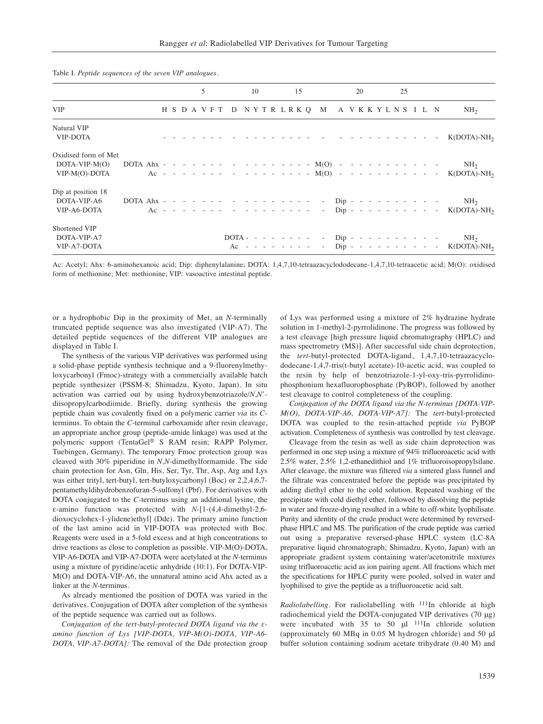|                                                          |  |  |  | 5 |  |  | 10 |  |  | 15 |  |                                                         |  | 20 |  |  | 25 |  |                                                                                                                                                                                            |
|----------------------------------------------------------|--|--|--|---|--|--|----|--|--|----|--|---------------------------------------------------------|--|----|--|--|----|--|--------------------------------------------------------------------------------------------------------------------------------------------------------------------------------------------|
| <b>VIP</b>                                               |  |  |  |   |  |  |    |  |  |    |  | H S D A V F T D N Y T R L R K Q M A V K K Y L N S I L N |  |    |  |  |    |  | NH <sub>2</sub>                                                                                                                                                                            |
| Natural VIP<br>VIP-DOTA                                  |  |  |  |   |  |  |    |  |  |    |  |                                                         |  |    |  |  |    |  |                                                                                                                                                                                            |
| Oxidised form of Met<br>$DOTA-VIP-M(O)$<br>VIP-M(O)-DOTA |  |  |  |   |  |  |    |  |  |    |  |                                                         |  |    |  |  |    |  | DOTA Ahx - - - - - - - - - - - - - - - - M(O) - - - - - - - - - - - - - - - - NH <sub>2</sub><br>Ac - - - - - - - - - - - - - - - - $M(O)$ - - - - - - - - - - - - K(DOTA)-NH <sub>2</sub> |
| Dip at position 18<br>DOTA-VIP-A6<br>VIP-A6-DOTA         |  |  |  |   |  |  |    |  |  |    |  |                                                         |  |    |  |  |    |  | DOTA Ahx - - - - - - - - - - - - - - - - - Dip - - - - - - - - - - - - NH <sub>2</sub><br>Ac - - - - - - - - - - - - - - - - Dip - - - - - - - - - - - - - K(DOTA)-NH <sub>2</sub>         |
| Shortened VIP<br>DOTA-VIP-A7<br>VIP-A7-DOTA              |  |  |  |   |  |  |    |  |  |    |  |                                                         |  |    |  |  |    |  | DOTA - - - - - - - - - Dip - - - - - - - - - -<br>NH <sub>2</sub><br>Ac - - - - - - - - Dip - - - - - - - - - - K(DOTA)-NH <sub>2</sub>                                                    |

Table I. *Peptide sequences of the seven VIP analogues.*

Ac: Acetyl; Ahx: 6-aminohexanoic acid; Dip: diphenylalanine; DOTA: 1,4,7,10-tetraazacyclododecane-1,4,7,10-tetraacetic acid; M(O): oxidised form of methionine; Met: methionine; VIP: vasoactive intestinal peptide.

or a hydrophobic Dip in the proximity of Met, an *N*-terminally truncated peptide sequence was also investigated (VIP-A7). The detailed peptide sequences of the different VIP analogues are displayed in Table I.

The synthesis of the various VIP derivatives was performed using a solid-phase peptide synthesis technique and a 9-fluorenylmethyloxycarbonyl (Fmoc)-strategy with a commercially available batch peptide synthesizer (PSSM-8; Shimadzu, Kyoto, Japan). In situ activation was carried out by using hydroxybenzotriazole/*N,N*' diisopropylcarbodiimide. Briefly, during synthesis the growing peptide chain was covalently fixed on a polymeric carrier *via* its *C*terminus. To obtain the *C*-terminal carboxamide after resin cleavage, an appropriate anchor group (peptide-amide linkage) was used at the polymeric support (TentaGel® S RAM resin; RAPP Polymer, Tuebingen, Germany). The temporary Fmoc protection group was cleaved with 30% piperidine in *N,N*-dimethylformamide. The side chain protection for Asn, Gln, His, Ser, Tyr, Thr, Asp, Arg and Lys was either trityl, tert-butyl, tert-butyloxycarbonyl (Boc) or 2,2,4,6,7 pentamethyldihydrobenzofuran-5-sulfonyl (Pbf). For derivatives with DOTA conjugated to the *C*-terminus using an additional lysine, the ε-amino function was protected with *N*-[1-(4,4-dimethyl-2,6 dioxocyclohex-1-ylidene)ethyl] (Dde). The primary amino function of the last amino acid in VIP-DOTA was protected with Boc. Reagents were used in a 5-fold excess and at high concentrations to drive reactions as close to completion as possible. VIP-M(O)-DOTA, VIP-A6-DOTA and VIP-A7-DOTA were acetylated at the *N-*terminus using a mixture of pyridine/acetic anhydride (10:1). For DOTA-VIP-M(O) and DOTA-VIP-A6, the unnatural amino acid Ahx acted as a linker at the *N*-terminus.

As already mentioned the position of DOTA was varied in the derivatives. Conjugation of DOTA after completion of the synthesis of the peptide sequence was carried out as follows.

*Conjugation of the tert-butyl-protected DOTA ligand via the εamino function of Lys [VIP-DOTA, VIP-M(O)-DOTA, VIP-A6- DOTA, VIP-A7-DOTA]:* The removal of the Dde protection group of Lys was performed using a mixture of 2% hydrazine hydrate solution in 1-methyl-2-pyrrolidinone. The progress was followed by a test cleavage [high pressure liquid chromatography (HPLC) and mass spectrometry (MS)]. After successful side chain deprotection, the *tert-*butyl-protected DOTA-ligand, 1,4,7,10-tetraazacyclododecane-1,4,7-tris(t-butyl acetate)-10-acetic acid, was coupled to the resin by help of benzotriazole-1-yl-oxy-tris-pyrrolidinophosphonium hexafluorophosphate (PyBOP), followed by another test cleavage to control completeness of the coupling.

*Conjugation of the DOTA ligand via the N-terminus [DOTA-VIP-M(O), DOTA-VIP-A6, DOTA-VIP-A7]:* The *tert*-butyl-protected DOTA was coupled to the resin-attached peptide *via* PyBOP activation. Completeness of synthesis was controlled by test cleavage.

Cleavage from the resin as well as side chain deprotection was performed in one step using a mixture of 94% trifluoroacetic acid with 2.5% water, 2.5% 1,2-ethanedithiol and 1% trifluoroisopropylsilane. After cleavage, the mixture was filtered *via* a sintered glass funnel and the filtrate was concentrated before the peptide was precipitated by adding diethyl ether to the cold solution. Repeated washing of the precipitate with cold diethyl ether, followed by dissolving the peptide in water and freeze-drying resulted in a white to off-white lyophilisate. Purity and identity of the crude product were determined by reversedphase HPLC and MS. The purification of the crude peptide was carried out using a preparative reversed-phase HPLC system (LC-8A preparative liquid chromatograph; Shimadzu, Kyoto, Japan) with an appropriate gradient system containing water/acetonitrile mixtures using trifluoroacetic acid as ion pairing agent. All fractions which met the specifications for HPLC purity were pooled, solved in water and lyophilised to give the peptide as a trifluoroacetic acid salt.

*Radiolabelling.* For radiolabelling with 111In chloride at high radiochemical yield the DOTA-conjugated VIP derivatives (70 μg) were incubated with 35 to 50 μl 111In chloride solution (approximately 60 MBq in 0.05 M hydrogen chloride) and 50 μl buffer solution containing sodium acetate trihydrate (0.40 M) and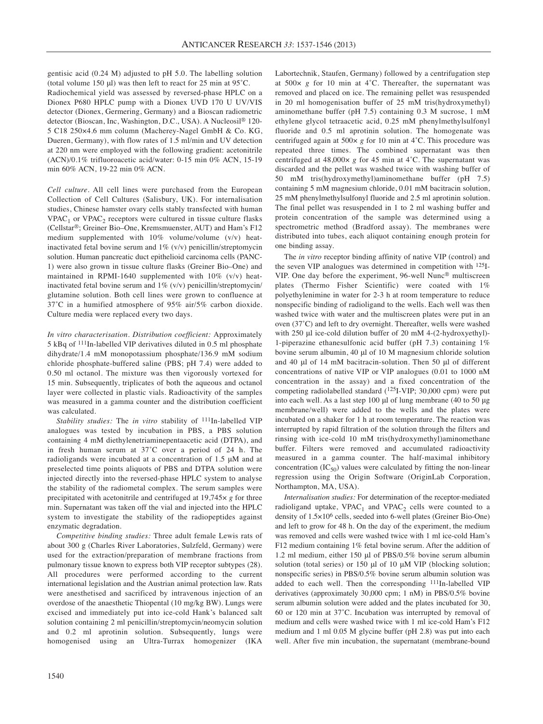gentisic acid (0.24 M) adjusted to pH 5.0. The labelling solution (total volume 150 μl) was then left to react for 25 min at 95˚C.

Radiochemical yield was assessed by reversed-phase HPLC on a Dionex P680 HPLC pump with a Dionex UVD 170 U UV/VIS detector (Dionex, Germering, Germany) and a Bioscan radiometric detector (Bioscan, Inc, Washington, D.C., USA). A Nucleosil® 120- 5 C18 250×4.6 mm column (Macherey-Nagel GmbH & Co. KG, Dueren, Germany), with flow rates of 1.5 ml/min and UV detection at 220 nm were employed with the following gradient: acetonitrile (ACN)/0.1% trifluoroacetic acid/water: 0-15 min 0% ACN, 15-19 min 60% ACN, 19-22 min 0% ACN.

*Cell culture.* All cell lines were purchased from the European Collection of Cell Cultures (Salisbury, UK). For internalisation studies, Chinese hamster ovary cells stably transfected with human  $VPAC<sub>1</sub>$  or  $VPAC<sub>2</sub>$  receptors were cultured in tissue culture flasks (Cellstar®; Greiner Bio–One, Kremsmuenster, AUT) and Ham's F12 medium supplemented with 10% volume/volume (v/v) heatinactivated fetal bovine serum and 1% (v/v) penicillin/streptomycin solution. Human pancreatic duct epithelioid carcinoma cells (PANC-1) were also grown in tissue culture flasks (Greiner Bio–One) and maintained in RPMI-1640 supplemented with 10% (v/v) heatinactivated fetal bovine serum and  $1\%$  (v/v) penicillin/streptomycin/ glutamine solution. Both cell lines were grown to confluence at 37˚C in a humified atmosphere of 95% air/5% carbon dioxide. Culture media were replaced every two days.

*In vitro characterisation. Distribution coefficient:* Approximately 5 kBq of 111In-labelled VIP derivatives diluted in 0.5 ml phosphate dihydrate/1.4 mM monopotassium phosphate/136.9 mM sodium chloride phosphate-buffered saline (PBS; pH 7.4) were added to 0.50 ml octanol. The mixture was then vigorously vortexed for 15 min. Subsequently, triplicates of both the aqueous and octanol layer were collected in plastic vials. Radioactivity of the samples was measured in a gamma counter and the distribution coefficient was calculated.

*Stability studies:* The *in vitro* stability of 111In-labelled VIP analogues was tested by incubation in PBS, a PBS solution containing 4 mM diethylenetriaminepentaacetic acid (DTPA), and in fresh human serum at 37˚C over a period of 24 h. The radioligands were incubated at a concentration of 1.5 μM and at preselected time points aliquots of PBS and DTPA solution were injected directly into the reversed-phase HPLC system to analyse the stability of the radiometal complex. The serum samples were precipitated with acetonitrile and centrifuged at 19,745× *g* for three min. Supernatant was taken off the vial and injected into the HPLC system to investigate the stability of the radiopeptides against enzymatic degradation.

*Competitive binding studies:* Three adult female Lewis rats of about 300 g (Charles River Laboratories, Sulzfeld, Germany) were used for the extraction/preparation of membrane fractions from pulmonary tissue known to express both VIP receptor subtypes (28). All procedures were performed according to the current international legislation and the Austrian animal protection law. Rats were anesthetised and sacrificed by intravenous injection of an overdose of the anaesthetic Thiopental (10 mg/kg BW). Lungs were excised and immediately put into ice-cold Hank's balanced salt solution containing 2 ml penicillin/streptomycin/neomycin solution and 0.2 ml aprotinin solution. Subsequently, lungs were homogenised using an Ultra-Turrax homogenizer (IKA

Labortechnik, Staufen, Germany) followed by a centrifugation step at 500× *g* for 10 min at 4˚C. Thereafter, the supernatant was removed and placed on ice. The remaining pellet was resuspended in 20 ml homogenisation buffer of 25 mM tris(hydroxymethyl) aminomethane buffer (pH 7.5) containing 0.3 M sucrose, 1 mM ethylene glycol tetraacetic acid, 0.25 mM phenylmethylsulfonyl fluoride and 0.5 ml aprotinin solution. The homogenate was centrifuged again at 500× *g* for 10 min at 4˚C. This procedure was repeated three times. The combined supernatant was then centrifuged at  $48,000 \times g$  for  $45$  min at  $4^{\circ}$ C. The supernatant was discarded and the pellet was washed twice with washing buffer of 50 mM tris(hydroxymethyl)aminomethane buffer (pH 7.5) containing 5 mM magnesium chloride, 0.01 mM bacitracin solution, 25 mM phenylmethylsulfonyl fluoride and 2.5 ml aprotinin solution. The final pellet was resuspended in 1 to 2 ml washing buffer and protein concentration of the sample was determined using a spectrometric method (Bradford assay). The membranes were distributed into tubes, each aliquot containing enough protein for one binding assay.

The *in vitro* receptor binding affinity of native VIP (control) and the seven VIP analogues was determined in competition with 125I-VIP. One day before the experiment, 96-well Nunc® multiscreen plates (Thermo Fisher Scientific) were coated with 1% polyethylenimine in water for 2-3 h at room temperature to reduce nonspecific binding of radioligand to the wells. Each well was then washed twice with water and the multiscreen plates were put in an oven (37˚C) and left to dry overnight. Thereafter, wells were washed with 250 μl ice-cold dilution buffer of 20 mM 4-(2-hydroxyethyl)- 1-piperazine ethanesulfonic acid buffer (pH 7.3) containing 1% bovine serum albumin, 40 μl of 10 M magnesium chloride solution and 40 μl of 14 mM bacitracin-solution. Then 50 μl of different concentrations of native VIP or VIP analogues (0.01 to 1000 nM concentration in the assay) and a fixed concentration of the competing radiolabelled standard (125I-VIP; 30,000 cpm) were put into each well. As a last step 100 μl of lung membrane (40 to 50 μg membrane/well) were added to the wells and the plates were incubated on a shaker for 1 h at room temperature. The reaction was interrupted by rapid filtration of the solution through the filters and rinsing with ice-cold 10 mM tris(hydroxymethyl)aminomethane buffer. Filters were removed and accumulated radioactivity measured in a gamma counter. The half-maximal inhibitory concentration  $(IC_{50})$  values were calculated by fitting the non-linear regression using the Origin Software (OriginLab Corporation, Northampton, MA, USA).

*Internalisation studies:* For determination of the receptor-mediated radioligand uptake,  $VPAC_1$  and  $VPAC_2$  cells were counted to a density of 1.5×106 cells, seeded into 6-well plates (Greiner Bio-One) and left to grow for 48 h. On the day of the experiment, the medium was removed and cells were washed twice with 1 ml ice-cold Ham's F12 medium containing 1% fetal bovine serum. After the addition of 1.2 ml medium, either 150 μl of PBS/0.5% bovine serum albumin solution (total series) or 150 μl of 10 μM VIP (blocking solution; nonspecific series) in PBS/0.5% bovine serum albumin solution was added to each well. Then the corresponding 111In-labelled VIP derivatives (approximately 30,000 cpm; 1 nM) in PBS/0.5% bovine serum albumin solution were added and the plates incubated for 30, 60 or 120 min at 37˚C. Incubation was interrupted by removal of medium and cells were washed twice with 1 ml ice-cold Ham's F12 medium and 1 ml 0.05 M glycine buffer (pH 2.8) was put into each well. After five min incubation, the supernatant (membrane-bound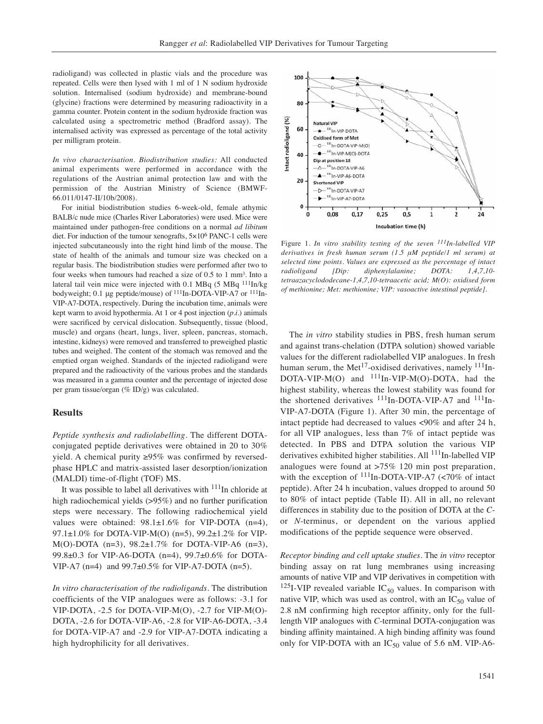radioligand) was collected in plastic vials and the procedure was repeated. Cells were then lysed with 1 ml of 1 N sodium hydroxide solution. Internalised (sodium hydroxide) and membrane-bound (glycine) fractions were determined by measuring radioactivity in a gamma counter. Protein content in the sodium hydroxide fraction was calculated using a spectrometric method (Bradford assay). The internalised activity was expressed as percentage of the total activity per milligram protein.

*In vivo characterisation. Biodistribution studies:* All conducted animal experiments were performed in accordance with the regulations of the Austrian animal protection law and with the permission of the Austrian Ministry of Science (BMWF-66.011/0147-II/10b/2008).

For initial biodistribution studies 6-week-old, female athymic BALB/c nude mice (Charles River Laboratories) were used. Mice were maintained under pathogen-free conditions on a normal *ad libitum* diet. For induction of the tumour xenografts, 5×106 PANC-1 cells were injected subcutaneously into the right hind limb of the mouse. The state of health of the animals and tumour size was checked on a regular basis. The biodistribution studies were performed after two to four weeks when tumours had reached a size of 0.5 to 1 mm<sup>3</sup>. Into a lateral tail vein mice were injected with 0.1 MBq (5 MBq 111In/kg bodyweight; 0.1 μg peptide/mouse) of 111In-DOTA-VIP-A7 or 111In-VIP-A7-DOTA, respectively. During the incubation time, animals were kept warm to avoid hypothermia. At 1 or 4 post injection (*p.i.*) animals were sacrificed by cervical dislocation. Subsequently, tissue (blood, muscle) and organs (heart, lungs, liver, spleen, pancreas, stomach, intestine, kidneys) were removed and transferred to preweighed plastic tubes and weighed. The content of the stomach was removed and the emptied organ weighed. Standards of the injected radioligand were prepared and the radioactivity of the various probes and the standards was measured in a gamma counter and the percentage of injected dose per gram tissue/organ (% ID/g) was calculated.

## **Results**

*Peptide synthesis and radiolabelling.* The different DOTAconjugated peptide derivatives were obtained in 20 to 30% yield. A chemical purity ≥95% was confirmed by reversedphase HPLC and matrix-assisted laser desorption/ionization (MALDI) time-of-flight (TOF) MS.

It was possible to label all derivatives with <sup>111</sup>In chloride at high radiochemical yields (>95%) and no further purification steps were necessary. The following radiochemical yield values were obtained:  $98.1 \pm 1.6\%$  for VIP-DOTA (n=4), 97.1±1.0% for DOTA-VIP-M(O) (n=5), 99.2±1.2% for VIP-M(O)-DOTA (n=3), 98.2±1.7% for DOTA-VIP-A6 (n=3), 99.8±0.3 for VIP-A6-DOTA (n=4), 99.7±0.6% for DOTA-VIP-A7 (n=4) and  $99.7\pm0.5\%$  for VIP-A7-DOTA (n=5).

*In vitro characterisation of the radioligands.* The distribution coefficients of the VIP analogues were as follows: -3.1 for VIP-DOTA, -2.5 for DOTA-VIP-M(O), -2.7 for VIP-M(O)- DOTA, -2.6 for DOTA-VIP-A6, -2.8 for VIP-A6-DOTA, -3.4 for DOTA-VIP-A7 and -2.9 for VIP-A7-DOTA indicating a high hydrophilicity for all derivatives.



Figure 1. *In vitro stability testing of the seven 111In-labelled VIP derivatives in fresh human serum (1.5 μM peptide/1 ml serum) at selected time points. Values are expressed as the percentage of intact radioligand [Dip: diphenylalanine; DOTA: 1,4,7,10 tetraazacyclododecane-1,4,7,10-tetraacetic acid; M(O): oxidised form of methionine; Met: methionine; VIP: vasoactive intestinal peptide].* 

The *in vitro* stability studies in PBS, fresh human serum and against trans-chelation (DTPA solution) showed variable values for the different radiolabelled VIP analogues. In fresh human serum, the Met<sup>17</sup>-oxidised derivatives, namely  $111$ <sub>In-</sub>  $DOTA-VIP-M(O)$  and  $111In-VIP-M(O)-DOTA$ , had the highest stability, whereas the lowest stability was found for the shortened derivatives  $^{111}$ In-DOTA-VIP-A7 and  $^{111}$ In-VIP-A7-DOTA (Figure 1). After 30 min, the percentage of intact peptide had decreased to values <90% and after 24 h, for all VIP analogues, less than 7% of intact peptide was detected. In PBS and DTPA solution the various VIP derivatives exhibited higher stabilities. All <sup>111</sup>In-labelled VIP analogues were found at >75% 120 min post preparation, with the exception of  $^{111}$ In-DOTA-VIP-A7 (<70% of intact peptide). After 24 h incubation, values dropped to around 50 to 80% of intact peptide (Table II). All in all, no relevant differences in stability due to the position of DOTA at the *C*or *N*-terminus, or dependent on the various applied modifications of the peptide sequence were observed.

*Receptor binding and cell uptake studies.* The *in vitro* receptor binding assay on rat lung membranes using increasing amounts of native VIP and VIP derivatives in competition with <sup>125</sup>I-VIP revealed variable  $IC_{50}$  values. In comparison with native VIP, which was used as control, with an  $IC_{50}$  value of 2.8 nM confirming high receptor affinity, only for the fulllength VIP analogues with *C*-terminal DOTA-conjugation was binding affinity maintained. A high binding affinity was found only for VIP-DOTA with an  $IC_{50}$  value of 5.6 nM. VIP-A6-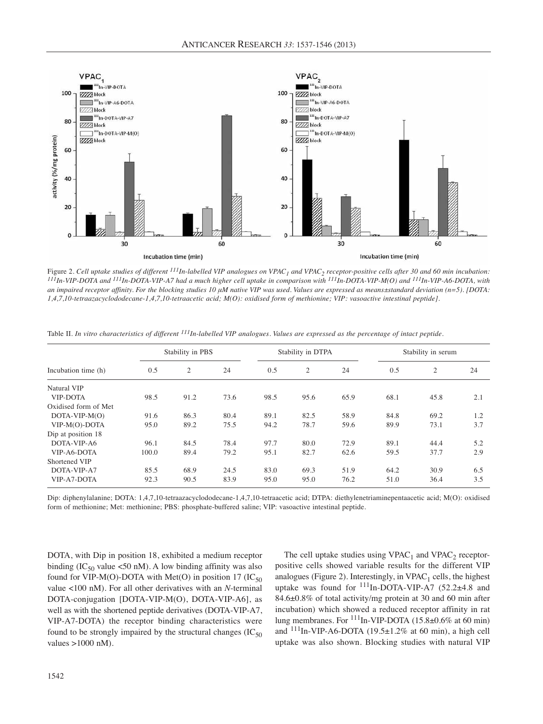

Figure 2. Cell uptake studies of different <sup>111</sup>In-labelled VIP analogues on VPAC<sub>1</sub> and VPAC<sub>2</sub> receptor-positive cells after 30 and 60 min incubation:<br><sup>111</sup>In-VIP-DOTA and <sup>111</sup>In-DOTA-VIP-A7 had a much higher cell upta *an impaired receptor affinity. For the blocking studies 10 μM native VIP was used. Values are expressed as means±standard deviation (n=5). [DOTA: 1,4,7,10-tetraazacyclododecane-1,4,7,10-tetraacetic acid; M(O): oxidised form of methionine; VIP: vasoactive intestinal peptide].*

|                      |       | Stability in PBS |      |      | Stability in DTPA |      | Stability in serum |              |     |  |  |  |
|----------------------|-------|------------------|------|------|-------------------|------|--------------------|--------------|-----|--|--|--|
| Incubation time (h)  | 0.5   | $\overline{2}$   | 24   | 0.5  | $\overline{2}$    | 24   | 0.5                | $\mathbf{2}$ | 24  |  |  |  |
| Natural VIP          |       |                  |      |      |                   |      |                    |              |     |  |  |  |
| <b>VIP-DOTA</b>      | 98.5  | 91.2             | 73.6 | 98.5 | 95.6              | 65.9 | 68.1               | 45.8         | 2.1 |  |  |  |
| Oxidised form of Met |       |                  |      |      |                   |      |                    |              |     |  |  |  |
| $DOTA-VIP-M(O)$      | 91.6  | 86.3             | 80.4 | 89.1 | 82.5              | 58.9 | 84.8               | 69.2         | 1.2 |  |  |  |
| VIP-M(O)-DOTA        | 95.0  | 89.2             | 75.5 | 94.2 | 78.7              | 59.6 | 89.9               | 73.1         | 3.7 |  |  |  |
| Dip at position 18   |       |                  |      |      |                   |      |                    |              |     |  |  |  |
| DOTA-VIP-A6          | 96.1  | 84.5             | 78.4 | 97.7 | 80.0              | 72.9 | 89.1               | 44.4         | 5.2 |  |  |  |
| VIP-A6-DOTA          | 100.0 | 89.4             | 79.2 | 95.1 | 82.7              | 62.6 | 59.5               | 37.7         | 2.9 |  |  |  |
| Shortened VIP        |       |                  |      |      |                   |      |                    |              |     |  |  |  |
| DOTA-VIP-A7          | 85.5  | 68.9             | 24.5 | 83.0 | 69.3              | 51.9 | 64.2               | 30.9         | 6.5 |  |  |  |
| VIP-A7-DOTA          | 92.3  | 90.5             | 83.9 | 95.0 | 95.0              | 76.2 | 51.0               | 36.4         | 3.5 |  |  |  |

Table II. *In vitro characteristics of different 111In-labelled VIP analogues. Values are expressed as the percentage of intact peptide.* 

Dip: diphenylalanine; DOTA: 1,4,7,10-tetraazacyclododecane-1,4,7,10-tetraacetic acid; DTPA: diethylenetriaminepentaacetic acid; M(O): oxidised form of methionine; Met: methionine; PBS: phosphate-buffered saline; VIP: vasoactive intestinal peptide.

DOTA, with Dip in position 18, exhibited a medium receptor binding (IC<sub>50</sub> value <50 nM). A low binding affinity was also found for VIP-M(O)-DOTA with Met(O) in position 17 (IC $_{50}$ ) value <100 nM). For all other derivatives with an *N*-terminal DOTA-conjugation [DOTA-VIP-M(O), DOTA-VIP-A6], as well as with the shortened peptide derivatives (DOTA-VIP-A7, VIP-A7-DOTA) the receptor binding characteristics were found to be strongly impaired by the structural changes  $(IC_{50})$ values >1000 nM).

The cell uptake studies using  $VPAC_1$  and  $VPAC_2$  receptorpositive cells showed variable results for the different VIP analogues (Figure 2). Interestingly, in  $VPAC_1$  cells, the highest uptake was found for  $^{111}$ In-DOTA-VIP-A7 (52.2 $\pm$ 4.8 and 84.6±0.8% of total activity/mg protein at 30 and 60 min after incubation) which showed a reduced receptor affinity in rat lung membranes. For 111In-VIP-DOTA (15.8±0.6% at 60 min) and  $^{111}$ In-VIP-A6-DOTA (19.5±1.2% at 60 min), a high cell uptake was also shown. Blocking studies with natural VIP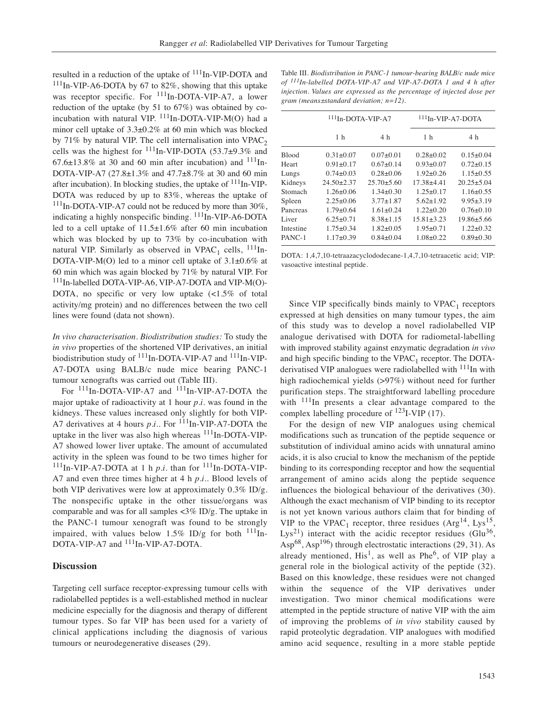resulted in a reduction of the uptake of <sup>111</sup>In-VIP-DOTA and  $111$ In-VIP-A6-DOTA by 67 to 82%, showing that this uptake was receptor specific. For <sup>111</sup>In-DOTA-VIP-A7, a lower reduction of the uptake (by 51 to 67%) was obtained by coincubation with natural VIP.  $^{111}$ In-DOTA-VIP-M(O) had a minor cell uptake of 3.3±0.2% at 60 min which was blocked by 71% by natural VIP. The cell internalisation into  $VPAC<sub>2</sub>$ cells was the highest for  $^{111}$ In-VIP-DOTA (53.7±9.3% and  $67.6\pm13.8\%$  at 30 and 60 min after incubation) and  $^{111}$ In-DOTA-VIP-A7 (27.8±1.3% and 47.7±8.7% at 30 and 60 min after incubation). In blocking studies, the uptake of  $111$ In-VIP-DOTA was reduced by up to 83%, whereas the uptake of <sup>111</sup>In-DOTA-VIP-A7 could not be reduced by more than 30%, indicating a highly nonspecific binding. <sup>111</sup>In-VIP-A6-DOTA led to a cell uptake of 11.5±1.6% after 60 min incubation which was blocked by up to 73% by co-incubation with natural VIP. Similarly as observed in VPAC<sub>1</sub> cells,  $^{111}$ In-DOTA-VIP-M(O) led to a minor cell uptake of  $3.1\pm0.6\%$  at 60 min which was again blocked by 71% by natural VIP. For 111In-labelled DOTA-VIP-A6, VIP-A7-DOTA and VIP-M(O)- DOTA, no specific or very low uptake  $\langle$ <1.5% of total activity/mg protein) and no differences between the two cell lines were found (data not shown).

*In vivo characterisation. Biodistribution studies:* To study the *in vivo* properties of the shortened VIP derivatives, an initial biodistribution study of  $^{111}$ In-DOTA-VIP-A7 and  $^{111}$ In-VIP-A7-DOTA using BALB/c nude mice bearing PANC-1 tumour xenografts was carried out (Table III).

For <sup>111</sup>In-DOTA-VIP-A7 and <sup>111</sup>In-VIP-A7-DOTA the major uptake of radioactivity at 1 hour *p.i.* was found in the kidneys. These values increased only slightly for both VIP-A7 derivatives at 4 hours *p.i.*. For <sup>111</sup>In-VIP-A7-DOTA the uptake in the liver was also high whereas <sup>111</sup>In-DOTA-VIP-A7 showed lower liver uptake. The amount of accumulated activity in the spleen was found to be two times higher for  $^{111}$ In-VIP-A7-DOTA at 1 h *p.i.* than for  $^{111}$ In-DOTA-VIP-A7 and even three times higher at 4 h *p.i.*. Blood levels of both VIP derivatives were low at approximately  $0.3\%$  ID/g. The nonspecific uptake in the other tissue/organs was comparable and was for all samples <3% ID/g. The uptake in the PANC-1 tumour xenograft was found to be strongly impaired, with values below  $1.5\%$  ID/g for both  $^{111}$ In-DOTA-VIP-A7 and <sup>111</sup>In-VIP-A7-DOTA.

#### **Discussion**

Targeting cell surface receptor-expressing tumour cells with radiolabelled peptides is a well-established method in nuclear medicine especially for the diagnosis and therapy of different tumour types. So far VIP has been used for a variety of clinical applications including the diagnosis of various tumours or neurodegenerative diseases (29).

Table III. *Biodistribution in PANC-1 tumour-bearing BALB/c nude mice of 111In-labelled DOTA-VIP-A7 and VIP-A7-DOTA 1 and 4 h after injection. Values are expressed as the percentage of injected dose per gram (means±standard deviation; n=12).*

|              | $111$ In-DOTA-VIP-A7 |                  | $111$ In-VIP-A7-DOTA |                  |  |  |  |  |  |
|--------------|----------------------|------------------|----------------------|------------------|--|--|--|--|--|
|              | 1 <sub>h</sub>       | 4 h              | 1 <sub>h</sub>       | 4 h              |  |  |  |  |  |
| <b>Blood</b> | $0.31 \pm 0.07$      | $0.07+0.01$      | $0.28 \pm 0.02$      | $0.15 \pm 0.04$  |  |  |  |  |  |
| Heart        | $0.91 \pm 0.17$      | $0.67 \pm 0.14$  | $0.93 \pm 0.07$      | $0.72 \pm 0.15$  |  |  |  |  |  |
| Lungs        | $0.74 \pm 0.03$      | $0.28 \pm 0.06$  | $1.92 \pm 0.26$      | $1.15 \pm 0.55$  |  |  |  |  |  |
| Kidneys      | $24.50 \pm 2.37$     | $25.70 \pm 5.60$ | $17.38 + 4.41$       | $20.25 \pm 5.04$ |  |  |  |  |  |
| Stomach      | $1.26 \pm 0.06$      | $1.34 \pm 0.30$  | $1.25 \pm 0.17$      | $1.16 \pm 0.55$  |  |  |  |  |  |
| Spleen       | $2.25 \pm 0.06$      | $3.77 \pm 1.87$  | $5.62 \pm 1.92$      | $9.95 \pm 3.19$  |  |  |  |  |  |
| Pancreas     | $1.79 \pm 0.64$      | $1.61 \pm 0.24$  | $1.22 \pm 0.20$      | $0.76 \pm 0.10$  |  |  |  |  |  |
| Liver        | $6.25 \pm 0.71$      | $8.38 \pm 1.15$  | $15.81 \pm 3.23$     | $19.86 \pm 5.66$ |  |  |  |  |  |
| Intestine    | $1.75 \pm 0.34$      | $1.82 \pm 0.05$  | $1.95 \pm 0.71$      | $1.22 \pm 0.32$  |  |  |  |  |  |
| PANC-1       | $1.17 \pm 0.39$      | $0.84 \pm 0.04$  | $1.08 \pm 0.22$      | $0.89 \pm 0.30$  |  |  |  |  |  |

DOTA: 1,4,7,10-tetraazacyclododecane-1,4,7,10-tetraacetic acid; VIP: vasoactive intestinal peptide.

Since VIP specifically binds mainly to  $VPAC_1$  receptors expressed at high densities on many tumour types, the aim of this study was to develop a novel radiolabelled VIP analogue derivatised with DOTA for radiometal-labelling with improved stability against enzymatic degradation *in vivo* and high specific binding to the  $VPAC_1$  receptor. The DOTAderivatised VIP analogues were radiolabelled with <sup>111</sup>In with high radiochemical yields (>97%) without need for further purification steps. The straightforward labelling procedure with  $111$ In presents a clear advantage compared to the complex labelling procedure of  $^{123}$ I-VIP (17).

For the design of new VIP analogues using chemical modifications such as truncation of the peptide sequence or substitution of individual amino acids with unnatural amino acids, it is also crucial to know the mechanism of the peptide binding to its corresponding receptor and how the sequential arrangement of amino acids along the peptide sequence influences the biological behaviour of the derivatives (30). Although the exact mechanism of VIP binding to its receptor is not yet known various authors claim that for binding of VIP to the VPAC<sub>1</sub> receptor, three residues  $(Arg^{14}, Lys^{15},$ Lys<sup>21</sup>) interact with the acidic receptor residues (Glu<sup>36</sup>, Asp<sup>68</sup>, Asp<sup>196</sup>) through electrostatic interactions (29, 31). As already mentioned,  $His<sup>1</sup>$ , as well as Phe<sup>6</sup>, of VIP play a general role in the biological activity of the peptide (32). Based on this knowledge, these residues were not changed within the sequence of the VIP derivatives under investigation. Two minor chemical modifications were attempted in the peptide structure of native VIP with the aim of improving the problems of *in vivo* stability caused by rapid proteolytic degradation. VIP analogues with modified amino acid sequence, resulting in a more stable peptide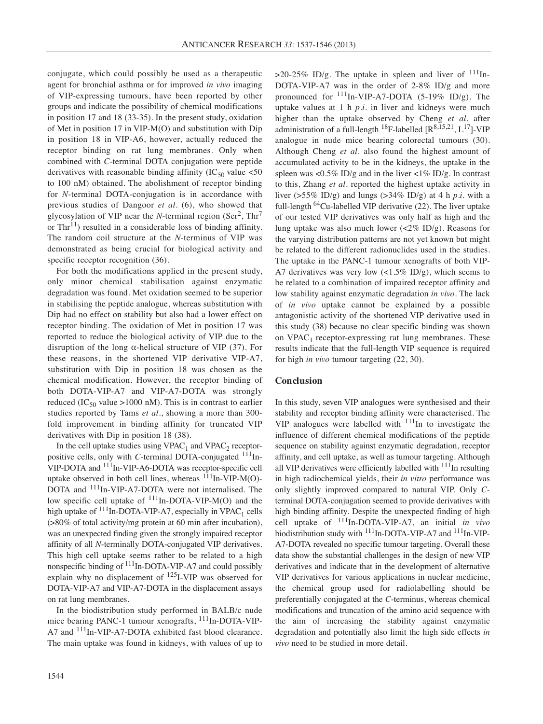conjugate, which could possibly be used as a therapeutic agent for bronchial asthma or for improved *in vivo* imaging of VIP-expressing tumours, have been reported by other groups and indicate the possibility of chemical modifications in position 17 and 18 (33-35). In the present study, oxidation of Met in position 17 in VIP-M(O) and substitution with Dip in position 18 in VIP-A6, however, actually reduced the receptor binding on rat lung membranes. Only when combined with *C*-terminal DOTA conjugation were peptide derivatives with reasonable binding affinity  $(IC_{50}$  value <50 to 100 nM) obtained. The abolishment of receptor binding for *N*-terminal DOTA-conjugation is in accordance with previous studies of Dangoor *et al.* (6), who showed that glycosylation of VIP near the *N*-terminal region (Ser<sup>2</sup>, Thr<sup>7</sup> or  $\text{Thr}^{11}$ ) resulted in a considerable loss of binding affinity. The random coil structure at the *N*-terminus of VIP was demonstrated as being crucial for biological activity and specific receptor recognition  $(36)$ .

For both the modifications applied in the present study, only minor chemical stabilisation against enzymatic degradation was found. Met oxidation seemed to be superior in stabilising the peptide analogue, whereas substitution with Dip had no effect on stability but also had a lower effect on receptor binding. The oxidation of Met in position 17 was reported to reduce the biological activity of VIP due to the disruption of the long α-helical structure of VIP (37). For these reasons, in the shortened VIP derivative VIP-A7, substitution with Dip in position 18 was chosen as the chemical modification. However, the receptor binding of both DOTA-VIP-A7 and VIP-A7-DOTA was strongly reduced (IC<sub>50</sub> value >1000 nM). This is in contrast to earlier studies reported by Tams *et al.*, showing a more than 300 fold improvement in binding affinity for truncated VIP derivatives with Dip in position 18 (38).

In the cell uptake studies using  $VPAC_1$  and  $VPAC_2$  receptorpositive cells, only with *C*-terminal DOTA-conjugated <sup>111</sup>In-VIP-DOTA and 111In-VIP-A6-DOTA was receptor-specific cell uptake observed in both cell lines, whereas  $^{111}$ In-VIP-M(O)-DOTA and 111In-VIP-A7-DOTA were not internalised. The low specific cell uptake of  $^{111}$ In-DOTA-VIP-M(O) and the high uptake of  $111$ In-DOTA-VIP-A7, especially in VPAC<sub>1</sub> cells (>80% of total activity/mg protein at 60 min after incubation), was an unexpected finding given the strongly impaired receptor affinity of all *N*-terminally DOTA-conjugated VIP derivatives. This high cell uptake seems rather to be related to a high nonspecific binding of <sup>111</sup>In-DOTA-VIP-A7 and could possibly explain why no displacement of  $^{125}$ I-VIP was observed for DOTA-VIP-A7 and VIP-A7-DOTA in the displacement assays on rat lung membranes.

In the biodistribution study performed in BALB/c nude mice bearing PANC-1 tumour xenografts, <sup>111</sup>In-DOTA-VIP-A7 and <sup>111</sup>In-VIP-A7-DOTA exhibited fast blood clearance. The main uptake was found in kidneys, with values of up to >20-25% ID/g. The uptake in spleen and liver of  $111$ In-DOTA-VIP-A7 was in the order of 2-8% ID/g and more pronounced for 111In-VIP-A7-DOTA (5-19% ID/g). The uptake values at 1 h *p.i.* in liver and kidneys were much higher than the uptake observed by Cheng *et al.* after administration of a full-length <sup>18</sup>F-labelled  $[R^{8,15,21}, L^{17}]$ -VIP analogue in nude mice bearing colorectal tumours (30). Although Cheng *et al.* also found the highest amount of accumulated activity to be in the kidneys, the uptake in the spleen was <0.5% ID/g and in the liver <1% ID/g. In contrast to this, Zhang *et al.* reported the highest uptake activity in liver (>55% ID/g) and lungs (>34% ID/g) at 4 h *p.i.* with a full-length  $^{64}$ Cu-labelled VIP derivative (22). The liver uptake of our tested VIP derivatives was only half as high and the lung uptake was also much lower  $\left(\frac{2\% \text{ ID/g}}{2}\right)$ . Reasons for the varying distribution patterns are not yet known but might be related to the different radionuclides used in the studies. The uptake in the PANC-1 tumour xenografts of both VIP-A7 derivatives was very low  $\left(\langle 1.5\% \text{ ID/g} \right)$ , which seems to be related to a combination of impaired receptor affinity and low stability against enzymatic degradation *in vivo*. The lack of *in vivo* uptake cannot be explained by a possible antagonistic activity of the shortened VIP derivative used in this study (38) because no clear specific binding was shown on  $VPAC_1$  receptor-expressing rat lung membranes. These results indicate that the full-length VIP sequence is required for high *in vivo* tumour targeting (22, 30).

# **Conclusion**

In this study, seven VIP analogues were synthesised and their stability and receptor binding affinity were characterised. The VIP analogues were labelled with  $111$ In to investigate the influence of different chemical modifications of the peptide sequence on stability against enzymatic degradation, receptor affinity, and cell uptake, as well as tumour targeting. Although all VIP derivatives were efficiently labelled with  $111$ In resulting in high radiochemical yields, their *in vitro* performance was only slightly improved compared to natural VIP. Only *C*terminal DOTA-conjugation seemed to provide derivatives with high binding affinity. Despite the unexpected finding of high cell uptake of 111In-DOTA-VIP-A7, an initial *in vivo* biodistribution study with <sup>111</sup>In-DOTA-VIP-A7 and <sup>111</sup>In-VIP-A7-DOTA revealed no specific tumour targeting. Overall these data show the substantial challenges in the design of new VIP derivatives and indicate that in the development of alternative VIP derivatives for various applications in nuclear medicine, the chemical group used for radiolabelling should be preferentially conjugated at the *C*-terminus, whereas chemical modifications and truncation of the amino acid sequence with the aim of increasing the stability against enzymatic degradation and potentially also limit the high side effects *in vivo* need to be studied in more detail.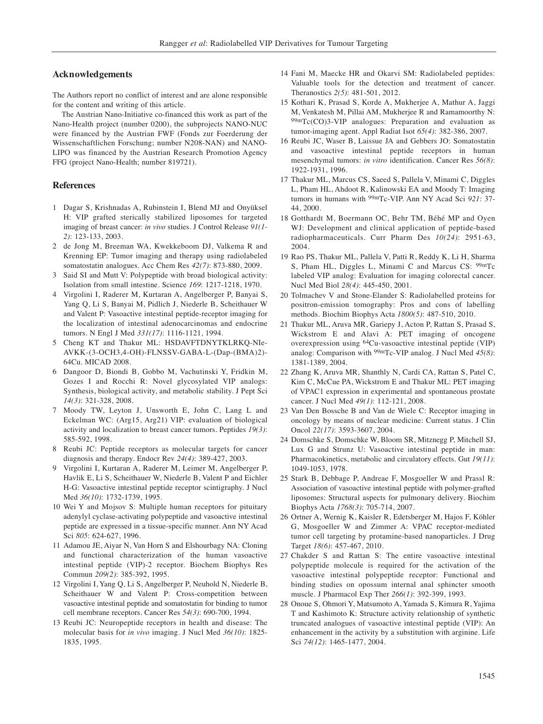#### **Acknowledgements**

The Authors report no conflict of interest and are alone responsible for the content and writing of this article.

The Austrian Nano-Initiative co-financed this work as part of the Nano-Health project (number 0200), the subprojects NANO-NUC were financed by the Austrian FWF (Fonds zur Foerderung der Wissenschaftlichen Forschung; number N208-NAN) and NANO-LIPO was financed by the Austrian Research Promotion Agency FFG (project Nano-Health; number 819721).

## **References**

- 1 Dagar S, Krishnadas A, Rubinstein I, Blend MJ and Onyüksel H: VIP grafted sterically stabilized liposomes for targeted imaging of breast cancer: *in vivo* studies. J Control Release *91(1- 2)*: 123-133, 2003.
- 2 de Jong M, Breeman WA, Kwekkeboom DJ, Valkema R and Krenning EP: Tumor imaging and therapy using radiolabeled somatostatin analogues. Acc Chem Res *42(7)*: 873-880, 2009.
- 3 Said SI and Mutt V: Polypeptide with broad biological activity: Isolation from small intestine. Science *169*: 1217-1218, 1970.
- 4 Virgolini I, Raderer M, Kurtaran A, Angelberger P, Banyai S, Yang Q, Li S, Banyai M, Pidlich J, Niederle B, Scheithauer W and Valent P: Vasoactive intestinal peptide-receptor imaging for the localization of intestinal adenocarcinomas and endocrine tumors. N Engl J Med *331(17)*: 1116-1121, 1994.
- 5 Cheng KT and Thakur ML: HSDAVFTDNYTKLRKQ-NIe-AVKK-(3-OCH3,4-OH)-FLNSSV-GABA-L-(Dap-(BMA)2)- 64Cu. MICAD 2008.
- 6 Dangoor D, Biondi B, Gobbo M, Vachutinski Y, Fridkin M, Gozes I and Rocchi R: Novel glycosylated VIP analogs: Synthesis, biological activity, and metabolic stability. J Pept Sci *14(3)*: 321-328, 2008.
- 7 Moody TW, Leyton J, Unsworth E, John C, Lang L and Eckelman WC: (Arg15, Arg21) VIP: evaluation of biological activity and localization to breast cancer tumors. Peptides *19(3)*: 585-592, 1998.
- 8 Reubi JC: Peptide receptors as molecular targets for cancer diagnosis and therapy. Endocr Rev *24(4)*: 389-427, 2003.
- 9 Virgolini I, Kurtaran A, Raderer M, Leimer M, Angelberger P, Havlik E, Li S, Scheithauer W, Niederle B, Valent P and Eichler H-G: Vasoactive intestinal peptide receptor scintigraphy. J Nucl Med *36(10)*: 1732-1739, 1995.
- 10 Wei Y and Mojsov S: Multiple human receptors for pituitary adenylyl cyclase-activating polypeptide and vasoactive intestinal peptide are expressed in a tissue-specific manner. Ann NY Acad Sci *805*: 624-627, 1996.
- 11 Adamou JE, Aiyar N, Van Horn S and Elshourbagy NA: Cloning and functional characterization of the human vasoactive intestinal peptide (VIP)-2 receptor. Biochem Biophys Res Commun *209(2)*: 385-392, 1995.
- 12 Virgolini I, Yang Q, Li S, Angelberger P, Neuhold N, Niederle B, Scheithauer W and Valent P: Cross-competition between vasoactive intestinal peptide and somatostatin for binding to tumor cell membrane receptors. Cancer Res *54(3)*: 690-700, 1994.
- 13 Reubi JC: Neuropeptide receptors in health and disease: The molecular basis for *in vivo* imaging. J Nucl Med *36(10)*: 1825- 1835, 1995.
- 14 Fani M, Maecke HR and Okarvi SM: Radiolabeled peptides: Valuable tools for the detection and treatment of cancer. Theranostics *2(5)*: 481-501, 2012.
- 15 Kothari K, Prasad S, Korde A, Mukherjee A, Mathur A, Jaggi M, Venkatesh M, Pillai AM, Mukherjee R and Ramamoorthy N: 99mTc(CO)3-VIP analogues: Preparation and evaluation as tumor-imaging agent. Appl Radiat Isot *65(4)*: 382-386, 2007.
- 16 Reubi JC, Waser B, Laissue JA and Gebbers JO: Somatostatin and vasoactive intestinal peptide receptors in human mesenchymal tumors: *in vitro* identification. Cancer Res *56(8)*: 1922-1931, 1996.
- 17 Thakur ML, Marcus CS, Saeed S, Pallela V, Minami C, Diggles L, Pham HL, Ahdoot R, Kalinowski EA and Moody T: Imaging tumors in humans with 99mTc-VIP. Ann NY Acad Sci *921*: 37- 44, 2000.
- 18 Gotthardt M, Boermann OC, Behr TM, Béhé MP and Oyen WJ: Development and clinical application of peptide-based radiopharmaceuticals. Curr Pharm Des *10(24)*: 2951-63, 2004.
- 19 Rao PS, Thakur ML, Pallela V, Patti R, Reddy K, Li H, Sharma S, Pham HL, Diggles L, Minami C and Marcus CS: 99mTc labeled VIP analog: Evaluation for imaging colorectal cancer. Nucl Med Biol *28(4)*: 445-450, 2001.
- 20 Tolmachev V and Stone-Elander S: Radiolabelled proteins for positron-emission tomography: Pros and cons of labelling methods. Biochim Biophys Acta *1800(5)*: 487-510, 2010.
- 21 Thakur ML, Aruva MR, Gariepy J, Acton P, Rattan S, Prasad S, Wickstrom E and Alavi A: PET imaging of oncogene overexpression using 64Cu-vasoactive intestinal peptide (VIP) analog: Comparison with 99mTc-VIP analog. J Nucl Med *45(8)*: 1381-1389, 2004.
- 22 Zhang K, Aruva MR, Shanthly N, Cardi CA, Rattan S, Patel C, Kim C, McCue PA, Wickstrom E and Thakur ML: PET imaging of VPAC1 expression in experimental and spontaneous prostate cancer. J Nucl Med *49(1)*: 112-121, 2008.
- 23 Van Den Bossche B and Van de Wiele C: Receptor imaging in oncology by means of nuclear medicine: Current status. J Clin Oncol *22(17)*: 3593-3607, 2004.
- 24 Domschke S, Domschke W, Bloom SR, Mitznegg P, Mitchell SJ, Lux G and Strunz U: Vasoactive intestinal peptide in man: Pharmacokinetics, metabolic and circulatory effects. Gut *19(11)*: 1049-1053, 1978.
- 25 Stark B, Debbage P, Andreae F, Mosgoeller W and Prassl R: Association of vasoactive intestinal peptide with polymer-grafted liposomes: Structural aspects for pulmonary delivery. Biochim Biophys Acta *1768(3)*: 705-714, 2007.
- 26 Ortner A, Wernig K, Kaisler R, Edetsberger M, Hajos F, Köhler G, Mosgoeller W and Zimmer A: VPAC receptor-mediated tumor cell targeting by protamine-based nanoparticles. J Drug Target *18(6)*: 457-467, 2010.
- 27 Chakder S and Rattan S: The entire vasoactive intestinal polypeptide molecule is required for the activation of the vasoactive intestinal polypeptide receptor: Functional and binding studies on opossum internal anal sphincter smooth muscle. J Pharmacol Exp Ther *266(1)*: 392-399, 1993.
- 28 Onoue S, Ohmori Y, Matsumoto A, Yamada S, Kimura R, Yajima T and Kashimoto K: Structure activity relationship of synthetic truncated analogues of vasoactive intestinal peptide (VIP): An enhancement in the activity by a substitution with arginine. Life Sci *74(12)*: 1465-1477, 2004.